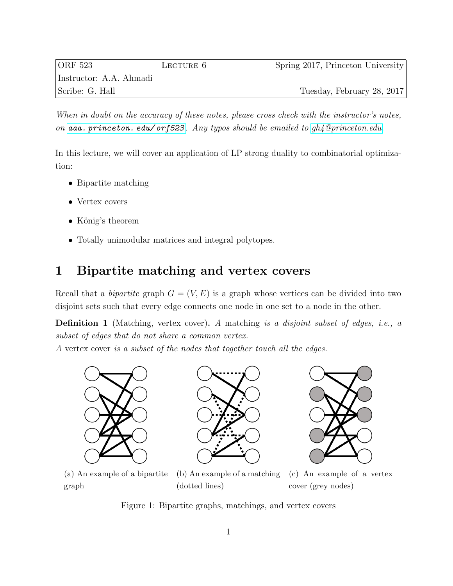| ORF 523                 | LECTURE 6 | Spring 2017, Princeton University |
|-------------------------|-----------|-----------------------------------|
| Instructor: A.A. Ahmadi |           |                                   |
| Scribe: G. Hall         |           | Tuesday, February 28, 2017        |

When in doubt on the accuracy of these notes, please cross check with the instructor's notes, on  $aaa.$  princeton. edu/ or  $523$ . Any typos should be emailed to  $qh_4$ @princeton.edu.

In this lecture, we will cover an application of LP strong duality to combinatorial optimization:

- Bipartite matching
- Vertex covers
- König's theorem
- Totally unimodular matrices and integral polytopes.

## 1 Bipartite matching and vertex covers

Recall that a *bipartite* graph  $G = (V, E)$  is a graph whose vertices can be divided into two disjoint sets such that every edge connects one node in one set to a node in the other.

Definition 1 (Matching, vertex cover). A matching is a disjoint subset of edges, i.e., a subset of edges that do not share a common vertex.

A vertex cover is a subset of the nodes that together touch all the edges.





(a) An example of a bipartite graph

(b) An example of a matching (dotted lines)



Figure 1: Bipartite graphs, matchings, and vertex covers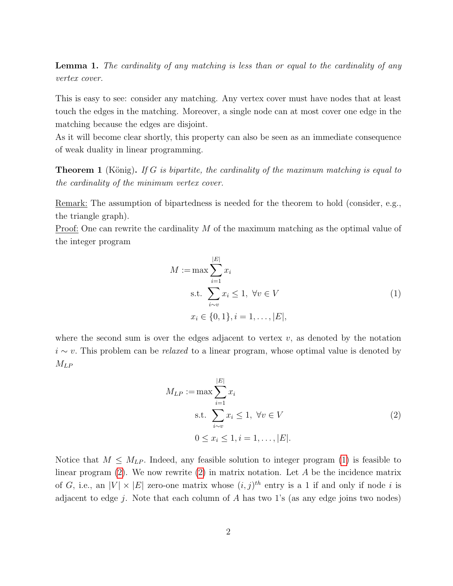Lemma 1. The cardinality of any matching is less than or equal to the cardinality of any vertex cover.

This is easy to see: consider any matching. Any vertex cover must have nodes that at least touch the edges in the matching. Moreover, a single node can at most cover one edge in the matching because the edges are disjoint.

As it will become clear shortly, this property can also be seen as an immediate consequence of weak duality in linear programming.

<span id="page-1-2"></span>**Theorem 1** (König). If G is bipartite, the cardinality of the maximum matching is equal to the cardinality of the minimum vertex cover.

Remark: The assumption of bipartedness is needed for the theorem to hold (consider, e.g., the triangle graph).

Proof: One can rewrite the cardinality M of the maximum matching as the optimal value of the integer program

<span id="page-1-0"></span>
$$
M := \max \sum_{i=1}^{|E|} x_i
$$
  
s.t. 
$$
\sum_{i \sim v} x_i \le 1, \ \forall v \in V
$$

$$
x_i \in \{0, 1\}, i = 1, ..., |E|,
$$
 (1)

where the second sum is over the edges adjacent to vertex  $v$ , as denoted by the notation  $i \sim v$ . This problem can be *relaxed* to a linear program, whose optimal value is denoted by  $M_{LP}$ 

<span id="page-1-1"></span>
$$
M_{LP} := \max \sum_{i=1}^{|E|} x_i
$$
  
s.t. 
$$
\sum_{i \sim v} x_i \le 1, \ \forall v \in V
$$
  

$$
0 \le x_i \le 1, i = 1, ..., |E|.
$$
 (2)

Notice that  $M \leq M_{LP}$ . Indeed, any feasible solution to integer program [\(1\)](#page-1-0) is feasible to linear program  $(2)$ . We now rewrite  $(2)$  in matrix notation. Let A be the incidence matrix of G, i.e., an  $|V| \times |E|$  zero-one matrix whose  $(i, j)^{th}$  entry is a 1 if and only if node i is adjacent to edge j. Note that each column of  $A$  has two 1's (as any edge joins two nodes)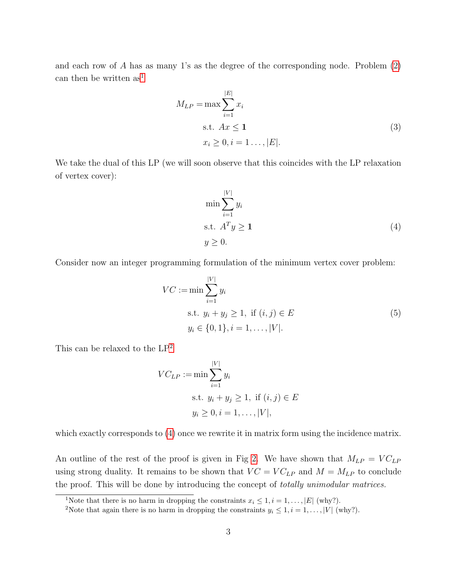and each row of A has as many 1's as the degree of the corresponding node. Problem [\(2\)](#page-1-1) can then be written  $as<sup>1</sup>$  $as<sup>1</sup>$  $as<sup>1</sup>$ 

$$
M_{LP} = \max \sum_{i=1}^{|E|} x_i
$$
  
s.t.  $Ax \le 1$   
 $x_i \ge 0, i = 1 \dots, |E|.$  (3)

We take the dual of this LP (we will soon observe that this coincides with the LP relaxation of vertex cover):

<span id="page-2-3"></span><span id="page-2-2"></span>
$$
\min \sum_{i=1}^{|V|} y_i
$$
  
s.t.  $A^T y \ge 1$   

$$
y \ge 0.
$$
 (4)

Consider now an integer programming formulation of the minimum vertex cover problem:

$$
VC := \min \sum_{i=1}^{|V|} y_i
$$
  
s.t.  $y_i + y_j \ge 1$ , if  $(i, j) \in E$   
 $y_i \in \{0, 1\}, i = 1, ..., |V|.$  (5)

This can be relaxed to the LP[2](#page-2-1)

$$
VC_{LP} := \min \sum_{i=1}^{|V|} y_i
$$
  
s.t.  $y_i + y_j \ge 1$ , if  $(i, j) \in E$   
 $y_i \ge 0, i = 1, ..., |V|$ ,

which exactly corresponds to  $(4)$  once we rewrite it in matrix form using the incidence matrix.

An outline of the rest of the proof is given in Fig [2.](#page-3-0) We have shown that  $M_{LP} = VC_{LP}$ using strong duality. It remains to be shown that  $VC = VC_{LP}$  and  $M = M_{LP}$  to conclude the proof. This will be done by introducing the concept of totally unimodular matrices.

<span id="page-2-0"></span><sup>&</sup>lt;sup>1</sup>Note that there is no harm in dropping the constraints  $x_i \leq 1, i = 1, \ldots, |E|$  (why?).

<span id="page-2-1"></span><sup>&</sup>lt;sup>2</sup>Note that again there is no harm in dropping the constraints  $y_i \leq 1, i = 1, \ldots, |V|$  (why?).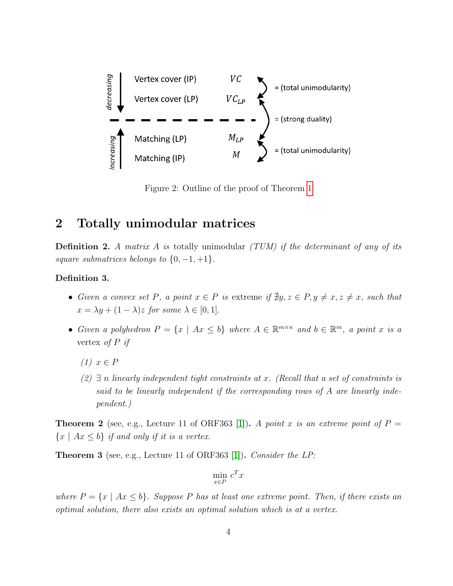<span id="page-3-0"></span>

Figure 2: Outline of the proof of Theorem [1](#page-1-2)

## 2 Totally unimodular matrices

**Definition 2.** A matrix A is totally unimodular  $(TUM)$  if the determinant of any of its square submatrices belongs to  $\{0, -1, +1\}.$ 

### Definition 3.

- Given a convex set P, a point  $x \in P$  is extreme if  $\exists y, z \in P, y \neq x, z \neq x$ , such that  $x = \lambda y + (1 - \lambda)z$  for some  $\lambda \in [0, 1]$ .
- Given a polyhedron  $P = \{x \mid Ax \leq b\}$  where  $A \in \mathbb{R}^{m \times n}$  and  $b \in \mathbb{R}^m$ , a point x is a vertex of  $P$  if
	- $(1)$   $x \in P$
	- $(2) \exists n$  linearly independent tight constraints at x. (Recall that a set of constraints is said to be linearly independent if the corresponding rows of A are linearly independent.)

**Theorem 2** (see, e.g., Lecture 11 of ORF363 [\[1\]](#page-6-0)). A point x is an extreme point of  $P =$  ${x \mid Ax \leq b}$  if and only if it is a vertex.

<span id="page-3-1"></span>Theorem 3 (see, e.g., Lecture 11 of ORF363 [\[1\]](#page-6-0)). Consider the LP:

$$
\min_{x \in P} c^T x
$$

where  $P = \{x \mid Ax \leq b\}$ . Suppose P has at least one extreme point. Then, if there exists an optimal solution, there also exists an optimal solution which is at a vertex.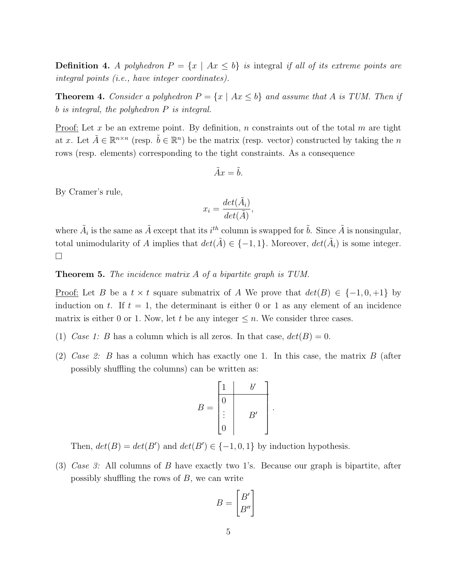**Definition 4.** A polyhedron  $P = \{x \mid Ax \leq b\}$  is integral if all of its extreme points are integral points (i.e., have integer coordinates).

<span id="page-4-0"></span>**Theorem 4.** Consider a polyhedron  $P = \{x \mid Ax \leq b\}$  and assume that A is TUM. Then if b is integral, the polyhedron P is integral.

Proof: Let x be an extreme point. By definition, n constraints out of the total m are tight at x. Let  $\tilde{A} \in \mathbb{R}^{n \times n}$  (resp.  $\tilde{b} \in \mathbb{R}^{n}$ ) be the matrix (resp. vector) constructed by taking the n rows (resp. elements) corresponding to the tight constraints. As a consequence

$$
\tilde{A}x = \tilde{b}.
$$

By Cramer's rule,

$$
x_i = \frac{\det(\tilde{A}_i)}{\det(\tilde{A})},
$$

where  $\tilde{A}_i$  is the same as  $\tilde{A}$  except that its  $i^{th}$  column is swapped for  $\tilde{b}$ . Since  $\tilde{A}$  is nonsingular, total unimodularity of A implies that  $det(\tilde{A}) \in \{-1,1\}$ . Moreover,  $det(\tilde{A}_i)$  is some integer.  $\Box$ 

#### Theorem 5. The incidence matrix A of a bipartite graph is TUM.

<u>Proof:</u> Let B be a  $t \times t$  square submatrix of A We prove that  $det(B) \in \{-1, 0, +1\}$  by induction on t. If  $t = 1$ , the determinant is either 0 or 1 as any element of an incidence matrix is either 0 or 1. Now, let t be any integer  $\leq n$ . We consider three cases.

- (1) Case 1: B has a column which is all zeros. In that case,  $det(B) = 0$ .
- (2) Case 2: B has a column which has exactly one 1. In this case, the matrix  $B$  (after possibly shuffling the columns) can be written as:

$$
B = \begin{bmatrix} 1 & b' \\ 0 & \\ \vdots & B' \\ 0 & \end{bmatrix}
$$

.

Then,  $det(B) = det(B')$  and  $det(B') \in \{-1, 0, 1\}$  by induction hypothesis.

(3) Case 3: All columns of B have exactly two 1's. Because our graph is bipartite, after possibly shuffling the rows of  $B$ , we can write

$$
B = \begin{bmatrix} B' \\ B'' \end{bmatrix}
$$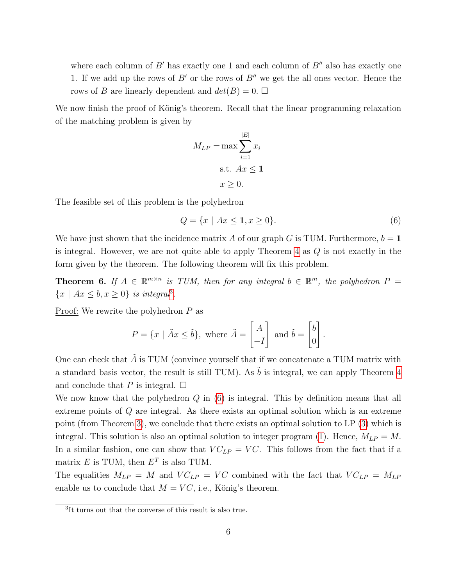where each column of  $B'$  has exactly one 1 and each column of  $B''$  also has exactly one 1. If we add up the rows of B' or the rows of B'' we get the all ones vector. Hence the rows of B are linearly dependent and  $det(B) = 0$ .

We now finish the proof of König's theorem. Recall that the linear programming relaxation of the matching problem is given by

<span id="page-5-1"></span>
$$
M_{LP} = \max \sum_{i=1}^{|E|} x_i
$$
  
s.t.  $Ax \le 1$   
 $x \ge 0$ .

The feasible set of this problem is the polyhedron

$$
Q = \{x \mid Ax \le 1, x \ge 0\}.
$$
\n(6)

We have just shown that the incidence matrix A of our graph G is TUM. Furthermore,  $b = 1$ is integral. However, we are not quite able to apply Theorem  $4$  as  $Q$  is not exactly in the form given by the theorem. The following theorem will fix this problem.

**Theorem 6.** If  $A \in \mathbb{R}^{m \times n}$  is TUM, then for any integral  $b \in \mathbb{R}^m$ , the polyhedron  $P =$  $\{x \mid Ax \leq b, x \geq 0\}$  is integral<sup>[3](#page-5-0)</sup>.

Proof: We rewrite the polyhedron  $P$  as

$$
P = \{x \mid \tilde{A}x \le \tilde{b}\}, \text{ where } \tilde{A} = \begin{bmatrix} A \\ -I \end{bmatrix} \text{ and } \tilde{b} = \begin{bmatrix} b \\ 0 \end{bmatrix}.
$$

One can check that  $\tilde{A}$  is TUM (convince yourself that if we concatenate a TUM matrix with a standard basis vector, the result is still TUM). As  $\tilde{b}$  is integral, we can apply Theorem [4](#page-4-0) and conclude that P is integral.  $\square$ 

We now know that the polyhedron  $Q$  in  $(6)$  is integral. This by definition means that all extreme points of Q are integral. As there exists an optimal solution which is an extreme point (from Theorem [3\)](#page-3-1), we conclude that there exists an optimal solution to LP [\(3\)](#page-2-3) which is integral. This solution is also an optimal solution to integer program [\(1\)](#page-1-0). Hence,  $M_{LP} = M$ . In a similar fashion, one can show that  $VC_{LP} = VC$ . This follows from the fact that if a matrix  $E$  is TUM, then  $E<sup>T</sup>$  is also TUM.

The equalities  $M_{LP} = M$  and  $VC_{LP} = VC$  combined with the fact that  $VC_{LP} = M_{LP}$ enable us to conclude that  $M = VC$ , i.e., König's theorem.

<span id="page-5-0"></span><sup>3</sup> It turns out that the converse of this result is also true.